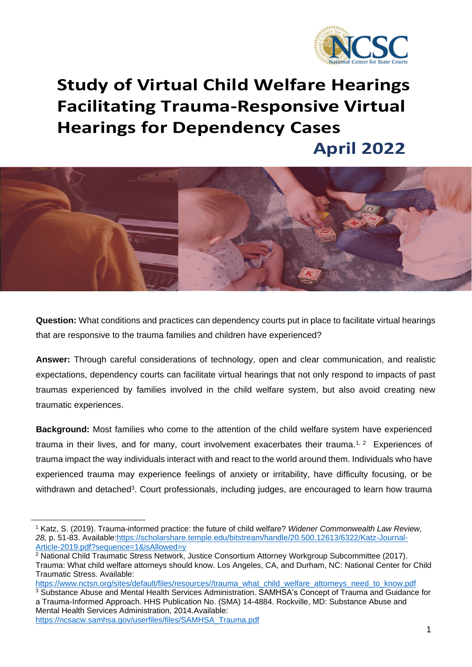

# **Study of Virtual Child Welfare Hearings Facilitating Trauma-Responsive Virtual Hearings for Dependency Cases**

 **April 2022**



**Question:** What conditions and practices can dependency courts put in place to facilitate virtual hearings that are responsive to the trauma families and children have experienced?

**Answer:** Through careful considerations of technology, open and clear communication, and realistic expectations, dependency courts can facilitate virtual hearings that not only respond to impacts of past traumas experienced by families involved in the child welfare system, but also avoid creating new traumatic experiences.

**Background:** Most families who come to the attention of the child welfare system have experienced trauma in their lives, and for many, court involvement exacerbates their trauma.<sup>1, 2</sup> Experiences of trauma impact the way individuals interact with and react to the world around them. Individuals who have experienced trauma may experience feelings of anxiety or irritability, have difficulty focusing, or be withdrawn and detached<sup>3</sup>. Court professionals, including judges, are encouraged to learn how trauma

<sup>1</sup> Katz, S. (2019). Trauma-informed practice: the future of child welfare? *Widener Commonwealth Law Review, 28,* p. 51-83. Available[:https://scholarshare.temple.edu/bitstream/handle/20.500.12613/6322/Katz-Journal-](https://scholarshare.temple.edu/bitstream/handle/20.500.12613/6322/Katz-Journal-Article-2019.pdf?sequence=1&isAllowed=y)[Article-2019.pdf?sequence=1&isAllowed=y](https://scholarshare.temple.edu/bitstream/handle/20.500.12613/6322/Katz-Journal-Article-2019.pdf?sequence=1&isAllowed=y)

<sup>&</sup>lt;sup>2</sup> National Child Traumatic Stress Network, Justice Consortium Attorney Workgroup Subcommittee (2017). Trauma: What child welfare attorneys should know. Los Angeles, CA, and Durham, NC: National Center for Child Traumatic Stress. Available:

[https://www.nctsn.org/sites/default/files/resources//trauma\\_what\\_child\\_welfare\\_attorneys\\_need\\_to\\_know.pdf](https://www.nctsn.org/sites/default/files/resources/trauma_what_child_welfare_attorneys_need_to_know.pdf) <sup>3</sup> Substance Abuse and Mental Health Services Administration. SAMHSA's Concept of Trauma and Guidance for a Trauma-Informed Approach. HHS Publication No. (SMA) 14-4884. Rockville, MD: Substance Abuse and Mental Health Services Administration, 2014.Available:

[https://ncsacw.samhsa.gov/userfiles/files/SAMHSA\\_Trauma.pdf](https://ncsacw.samhsa.gov/userfiles/files/SAMHSA_Trauma.pdf)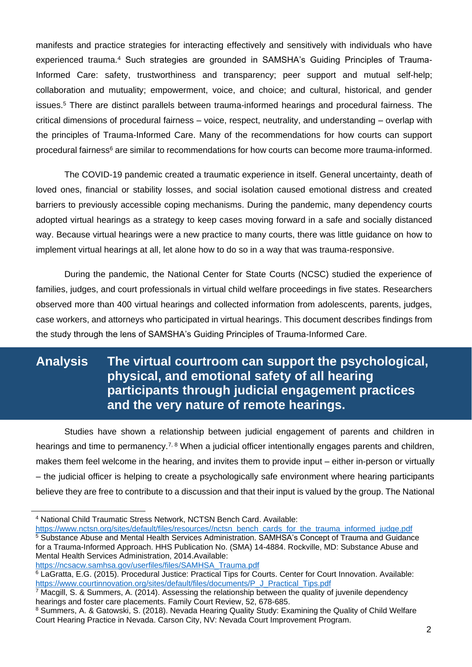manifests and practice strategies for interacting effectively and sensitively with individuals who have experienced trauma.<sup>4</sup> Such strategies are grounded in SAMSHA's Guiding Principles of Trauma-Informed Care: safety, trustworthiness and transparency; peer support and mutual self-help; collaboration and mutuality; empowerment, voice, and choice; and cultural, historical, and gender issues.<sup>5</sup> There are distinct parallels between trauma-informed hearings and procedural fairness. The critical dimensions of procedural fairness – voice, respect, neutrality, and understanding – overlap with the principles of Trauma-Informed Care. Many of the recommendations for how courts can support procedural fairness<sup>6</sup> are similar to recommendations for how courts can become more trauma-informed.

The COVID-19 pandemic created a traumatic experience in itself. General uncertainty, death of loved ones, financial or stability losses, and social isolation caused emotional distress and created barriers to previously accessible coping mechanisms. During the pandemic, many dependency courts adopted virtual hearings as a strategy to keep cases moving forward in a safe and socially distanced way. Because virtual hearings were a new practice to many courts, there was little guidance on how to implement virtual hearings at all, let alone how to do so in a way that was trauma-responsive.

During the pandemic, the National Center for State Courts (NCSC) studied the experience of families, judges, and court professionals in virtual child welfare proceedings in five states. Researchers observed more than 400 virtual hearings and collected information from adolescents, parents, judges, case workers, and attorneys who participated in virtual hearings. This document describes findings from the study through the lens of SAMSHA's Guiding Principles of Trauma-Informed Care.

# **Analysis The virtual courtroom can support the psychological, physical, and emotional safety of all hearing participants through judicial engagement practices and the very nature of remote hearings.**

Studies have shown a relationship between judicial engagement of parents and children in hearings and time to permanency.<sup>7, 8</sup> When a judicial officer intentionally engages parents and children, makes them feel welcome in the hearing, and invites them to provide input – either in-person or virtually – the judicial officer is helping to create a psychologically safe environment where hearing participants believe they are free to contribute to a discussion and that their input is valued by the group. The National

[https://www.nctsn.org/sites/default/files/resources//nctsn\\_bench\\_cards\\_for\\_the\\_trauma\\_informed\\_judge.pdf](https://www.nctsn.org/sites/default/files/resources/nctsn_bench_cards_for_the_trauma_informed_judge.pdf) <sup>5</sup> Substance Abuse and Mental Health Services Administration. SAMHSA's Concept of Trauma and Guidance for a Trauma-Informed Approach. HHS Publication No. (SMA) 14-4884. Rockville, MD: Substance Abuse and Mental Health Services Administration, 2014.Available:

[https://ncsacw.samhsa.gov/userfiles/files/SAMHSA\\_Trauma.pdf](https://ncsacw.samhsa.gov/userfiles/files/SAMHSA_Trauma.pdf)

<sup>4</sup> National Child Traumatic Stress Network, NCTSN Bench Card. Available:

<sup>6</sup> LaGratta, E.G. (2015). Procedural Justice: Practical Tips for Courts. Center for Court Innovation. Available: [https://www.courtinnovation.org/sites/default/files/documents/P\\_J\\_Practical\\_Tips.pdf](https://www.courtinnovation.org/sites/default/files/documents/P_J_Practical_Tips.pdf)

 $\overline{7}$  Macgill, S. & Summers, A. (2014). Assessing the relationship between the quality of juvenile dependency hearings and foster care placements. Family Court Review, 52, 678-685.

<sup>8</sup> Summers, A. & Gatowski, S. (2018). Nevada Hearing Quality Study: Examining the Quality of Child Welfare Court Hearing Practice in Nevada. Carson City, NV: Nevada Court Improvement Program.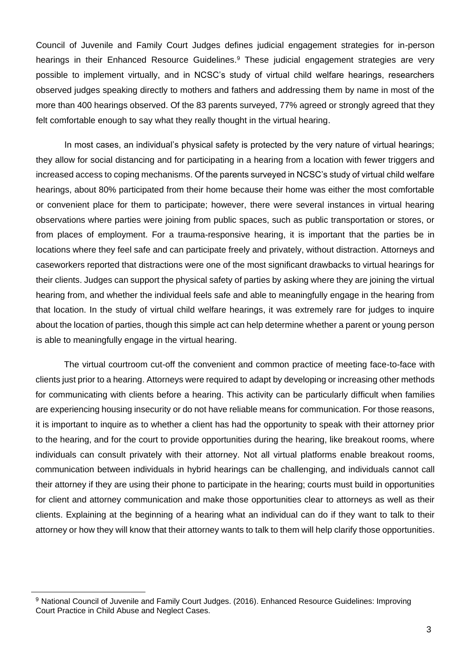Council of Juvenile and Family Court Judges defines judicial engagement strategies for in-person hearings in their Enhanced Resource Guidelines.<sup>9</sup> These judicial engagement strategies are very possible to implement virtually, and in NCSC's study of virtual child welfare hearings, researchers observed judges speaking directly to mothers and fathers and addressing them by name in most of the more than 400 hearings observed. Of the 83 parents surveyed, 77% agreed or strongly agreed that they felt comfortable enough to say what they really thought in the virtual hearing.

In most cases, an individual's physical safety is protected by the very nature of virtual hearings; they allow for social distancing and for participating in a hearing from a location with fewer triggers and increased access to coping mechanisms. Of the parents surveyed in NCSC's study of virtual child welfare hearings, about 80% participated from their home because their home was either the most comfortable or convenient place for them to participate; however, there were several instances in virtual hearing observations where parties were joining from public spaces, such as public transportation or stores, or from places of employment. For a trauma-responsive hearing, it is important that the parties be in locations where they feel safe and can participate freely and privately, without distraction. Attorneys and caseworkers reported that distractions were one of the most significant drawbacks to virtual hearings for their clients. Judges can support the physical safety of parties by asking where they are joining the virtual hearing from, and whether the individual feels safe and able to meaningfully engage in the hearing from that location. In the study of virtual child welfare hearings, it was extremely rare for judges to inquire about the location of parties, though this simple act can help determine whether a parent or young person is able to meaningfully engage in the virtual hearing.

The virtual courtroom cut-off the convenient and common practice of meeting face-to-face with clients just prior to a hearing. Attorneys were required to adapt by developing or increasing other methods for communicating with clients before a hearing. This activity can be particularly difficult when families are experiencing housing insecurity or do not have reliable means for communication. For those reasons, it is important to inquire as to whether a client has had the opportunity to speak with their attorney prior to the hearing, and for the court to provide opportunities during the hearing, like breakout rooms, where individuals can consult privately with their attorney. Not all virtual platforms enable breakout rooms, communication between individuals in hybrid hearings can be challenging, and individuals cannot call their attorney if they are using their phone to participate in the hearing; courts must build in opportunities for client and attorney communication and make those opportunities clear to attorneys as well as their clients. Explaining at the beginning of a hearing what an individual can do if they want to talk to their attorney or how they will know that their attorney wants to talk to them will help clarify those opportunities.

<sup>9</sup> National Council of Juvenile and Family Court Judges. (2016). Enhanced Resource Guidelines: Improving Court Practice in Child Abuse and Neglect Cases.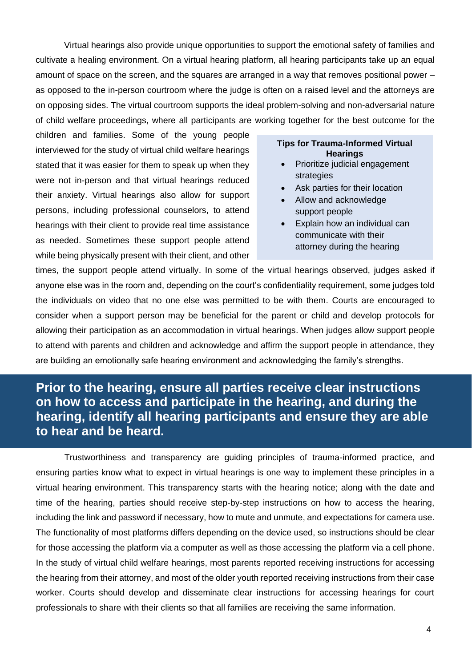Virtual hearings also provide unique opportunities to support the emotional safety of families and cultivate a healing environment. On a virtual hearing platform, all hearing participants take up an equal amount of space on the screen, and the squares are arranged in a way that removes positional power – as opposed to the in-person courtroom where the judge is often on a raised level and the attorneys are on opposing sides. The virtual courtroom supports the ideal problem-solving and non-adversarial nature of child welfare proceedings, where all participants are working together for the best outcome for the

children and families. Some of the young people interviewed for the study of virtual child welfare hearings stated that it was easier for them to speak up when they were not in-person and that virtual hearings reduced their anxiety. Virtual hearings also allow for support persons, including professional counselors, to attend hearings with their client to provide real time assistance as needed. Sometimes these support people attend while being physically present with their client, and other

#### **Tips for Trauma-Informed Virtual Hearings**

- Prioritize judicial engagement strategies
- Ask parties for their location
- Allow and acknowledge support people
- Explain how an individual can communicate with their attorney during the hearing

times, the support people attend virtually. In some of the virtual hearings observed, judges asked if anyone else was in the room and, depending on the court's confidentiality requirement, some judges told the individuals on video that no one else was permitted to be with them. Courts are encouraged to consider when a support person may be beneficial for the parent or child and develop protocols for allowing their participation as an accommodation in virtual hearings. When judges allow support people to attend with parents and children and acknowledge and affirm the support people in attendance, they are building an emotionally safe hearing environment and acknowledging the family's strengths.

### **Prior to the hearing, ensure all parties receive clear instructions on how to access and participate in the hearing, and during the hearing, identify all hearing participants and ensure they are able to hear and be heard.**

Trustworthiness and transparency are guiding principles of trauma-informed practice, and ensuring parties know what to expect in virtual hearings is one way to implement these principles in a virtual hearing environment. This transparency starts with the hearing notice; along with the date and time of the hearing, parties should receive step-by-step instructions on how to access the hearing, including the link and password if necessary, how to mute and unmute, and expectations for camera use. The functionality of most platforms differs depending on the device used, so instructions should be clear for those accessing the platform via a computer as well as those accessing the platform via a cell phone. In the study of virtual child welfare hearings, most parents reported receiving instructions for accessing the hearing from their attorney, and most of the older youth reported receiving instructions from their case worker. Courts should develop and disseminate clear instructions for accessing hearings for court professionals to share with their clients so that all families are receiving the same information.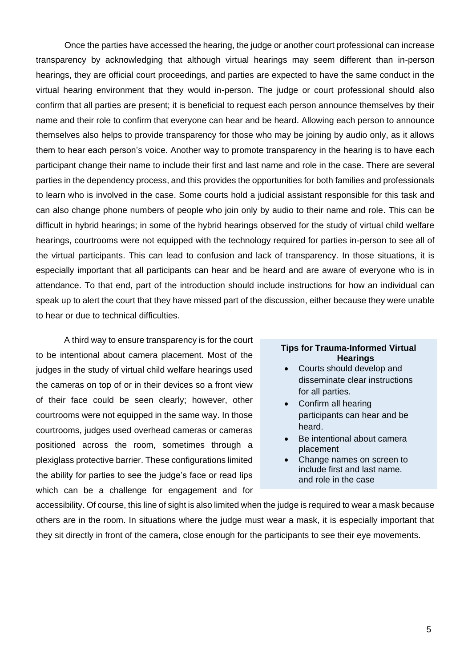Once the parties have accessed the hearing, the judge or another court professional can increase transparency by acknowledging that although virtual hearings may seem different than in-person hearings, they are official court proceedings, and parties are expected to have the same conduct in the virtual hearing environment that they would in-person. The judge or court professional should also confirm that all parties are present; it is beneficial to request each person announce themselves by their name and their role to confirm that everyone can hear and be heard. Allowing each person to announce themselves also helps to provide transparency for those who may be joining by audio only, as it allows them to hear each person's voice. Another way to promote transparency in the hearing is to have each participant change their name to include their first and last name and role in the case. There are several parties in the dependency process, and this provides the opportunities for both families and professionals to learn who is involved in the case. Some courts hold a judicial assistant responsible for this task and can also change phone numbers of people who join only by audio to their name and role. This can be difficult in hybrid hearings; in some of the hybrid hearings observed for the study of virtual child welfare hearings, courtrooms were not equipped with the technology required for parties in-person to see all of the virtual participants. This can lead to confusion and lack of transparency. In those situations, it is especially important that all participants can hear and be heard and are aware of everyone who is in attendance. To that end, part of the introduction should include instructions for how an individual can speak up to alert the court that they have missed part of the discussion, either because they were unable to hear or due to technical difficulties.

A third way to ensure transparency is for the court to be intentional about camera placement. Most of the judges in the study of virtual child welfare hearings used the cameras on top of or in their devices so a front view of their face could be seen clearly; however, other courtrooms were not equipped in the same way. In those courtrooms, judges used overhead cameras or cameras positioned across the room, sometimes through a plexiglass protective barrier. These configurations limited the ability for parties to see the judge's face or read lips which can be a challenge for engagement and for

#### **Tips for Trauma-Informed Virtual Hearings**

- Courts should develop and disseminate clear instructions for all parties.
- Confirm all hearing participants can hear and be heard.
- Be intentional about camera placement
- Change names on screen to include first and last name. and role in the case

accessibility. Of course, this line of sight is also limited when the judge is required to wear a mask because others are in the room. In situations where the judge must wear a mask, it is especially important that they sit directly in front of the camera, close enough for the participants to see their eye movements.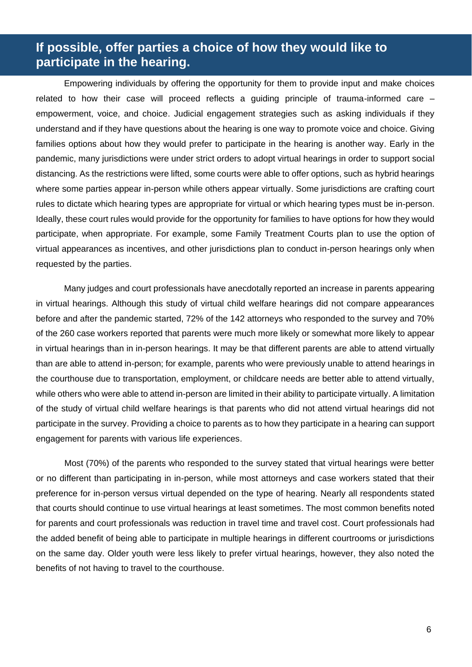### **If possible, offer parties a choice of how they would like to participate in the hearing.**

Empowering individuals by offering the opportunity for them to provide input and make choices related to how their case will proceed reflects a guiding principle of trauma-informed care – empowerment, voice, and choice. Judicial engagement strategies such as asking individuals if they understand and if they have questions about the hearing is one way to promote voice and choice. Giving families options about how they would prefer to participate in the hearing is another way. Early in the pandemic, many jurisdictions were under strict orders to adopt virtual hearings in order to support social distancing. As the restrictions were lifted, some courts were able to offer options, such as hybrid hearings where some parties appear in-person while others appear virtually. Some jurisdictions are crafting court rules to dictate which hearing types are appropriate for virtual or which hearing types must be in-person. Ideally, these court rules would provide for the opportunity for families to have options for how they would participate, when appropriate. For example, some Family Treatment Courts plan to use the option of virtual appearances as incentives, and other jurisdictions plan to conduct in-person hearings only when requested by the parties.

 Many judges and court professionals have anecdotally reported an increase in parents appearing in virtual hearings. Although this study of virtual child welfare hearings did not compare appearances before and after the pandemic started, 72% of the 142 attorneys who responded to the survey and 70% of the 260 case workers reported that parents were much more likely or somewhat more likely to appear in virtual hearings than in in-person hearings. It may be that different parents are able to attend virtually than are able to attend in-person; for example, parents who were previously unable to attend hearings in the courthouse due to transportation, employment, or childcare needs are better able to attend virtually, while others who were able to attend in-person are limited in their ability to participate virtually. A limitation of the study of virtual child welfare hearings is that parents who did not attend virtual hearings did not participate in the survey. Providing a choice to parents as to how they participate in a hearing can support engagement for parents with various life experiences.

Most (70%) of the parents who responded to the survey stated that virtual hearings were better or no different than participating in in-person, while most attorneys and case workers stated that their preference for in-person versus virtual depended on the type of hearing. Nearly all respondents stated that courts should continue to use virtual hearings at least sometimes. The most common benefits noted for parents and court professionals was reduction in travel time and travel cost. Court professionals had the added benefit of being able to participate in multiple hearings in different courtrooms or jurisdictions on the same day. Older youth were less likely to prefer virtual hearings, however, they also noted the benefits of not having to travel to the courthouse.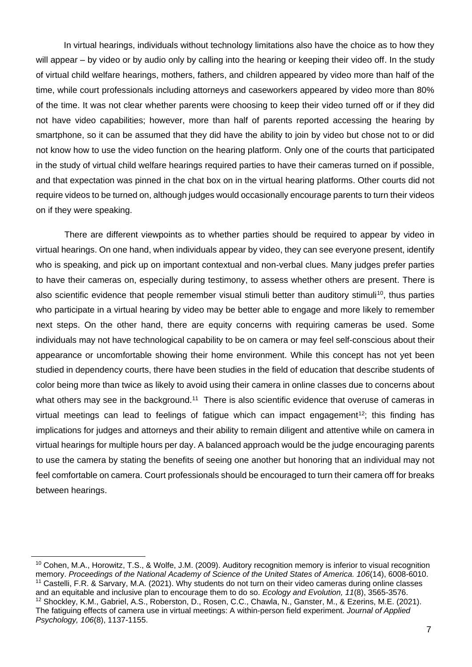In virtual hearings, individuals without technology limitations also have the choice as to how they will appear – by video or by audio only by calling into the hearing or keeping their video off. In the study of virtual child welfare hearings, mothers, fathers, and children appeared by video more than half of the time, while court professionals including attorneys and caseworkers appeared by video more than 80% of the time. It was not clear whether parents were choosing to keep their video turned off or if they did not have video capabilities; however, more than half of parents reported accessing the hearing by smartphone, so it can be assumed that they did have the ability to join by video but chose not to or did not know how to use the video function on the hearing platform. Only one of the courts that participated in the study of virtual child welfare hearings required parties to have their cameras turned on if possible, and that expectation was pinned in the chat box on in the virtual hearing platforms. Other courts did not require videos to be turned on, although judges would occasionally encourage parents to turn their videos on if they were speaking.

There are different viewpoints as to whether parties should be required to appear by video in virtual hearings. On one hand, when individuals appear by video, they can see everyone present, identify who is speaking, and pick up on important contextual and non-verbal clues. Many judges prefer parties to have their cameras on, especially during testimony, to assess whether others are present. There is also scientific evidence that people remember visual stimuli better than auditory stimuli<sup>10</sup>, thus parties who participate in a virtual hearing by video may be better able to engage and more likely to remember next steps. On the other hand, there are equity concerns with requiring cameras be used. Some individuals may not have technological capability to be on camera or may feel self-conscious about their appearance or uncomfortable showing their home environment. While this concept has not yet been studied in dependency courts, there have been studies in the field of education that describe students of color being more than twice as likely to avoid using their camera in online classes due to concerns about what others may see in the background.<sup>11</sup> There is also scientific evidence that overuse of cameras in virtual meetings can lead to feelings of fatigue which can impact engagement<sup>12</sup>; this finding has implications for judges and attorneys and their ability to remain diligent and attentive while on camera in virtual hearings for multiple hours per day. A balanced approach would be the judge encouraging parents to use the camera by stating the benefits of seeing one another but honoring that an individual may not feel comfortable on camera. Court professionals should be encouraged to turn their camera off for breaks between hearings.

<sup>&</sup>lt;sup>10</sup> Cohen, M.A., Horowitz, T.S., & Wolfe, J.M. (2009). Auditory recognition memory is inferior to visual recognition memory. *Proceedings of the National Academy of Science of the United States of America. 106*(14), 6008-6010. <sup>11</sup> Castelli, F.R. & Sarvary, M.A. (2021). Why students do not turn on their video cameras during online classes and an equitable and inclusive plan to encourage them to do so. *Ecology and Evolution, 11*(8), 3565-3576. <sup>12</sup> Shockley, K.M., Gabriel, A.S., Roberston, D., Rosen, C.C., Chawla, N., Ganster, M., & Ezerins, M.E. (2021). The fatiguing effects of camera use in virtual meetings: A within-person field experiment. *Journal of Applied Psychology, 106*(8), 1137-1155.